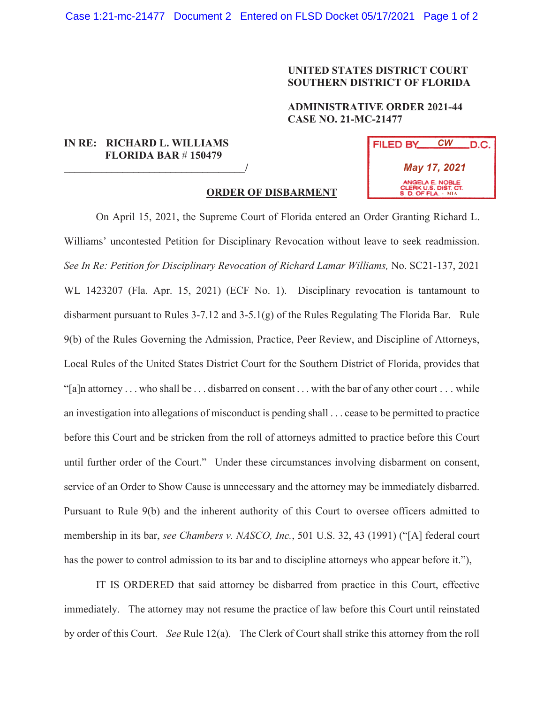## **UNITED STATES DISTRICT COURT SOUTHERN DISTRICT OF FLORIDA**

## **ADMINISTRATIVE ORDER 2021-44 CASE NO. 21-MC-21477**

## **IN RE: RICHARD L. WILLIAMS FLORIDA BAR** # **150479**   $\overline{a}$

| FILED BY                                                              | СW | D.C. |  |
|-----------------------------------------------------------------------|----|------|--|
| May 17, 2021                                                          |    |      |  |
| ANGELA E. NOBLE<br>CLERK U.S. DIST. CT.<br><b>S. D. OF FLA. - MIA</b> |    |      |  |

## **ORDER OF DISBARMENT**

On April 15, 2021, the Supreme Court of Florida entered an Order Granting Richard L. Williams' uncontested Petition for Disciplinary Revocation without leave to seek readmission. *See In Re: Petition for Disciplinary Revocation of Richard Lamar Williams,* No. SC21-137, 2021 WL 1423207 (Fla. Apr. 15, 2021) (ECF No. 1). Disciplinary revocation is tantamount to disbarment pursuant to Rules 3-7.12 and 3-5.1(g) of the Rules Regulating The Florida Bar. Rule 9(b) of the Rules Governing the Admission, Practice, Peer Review, and Discipline of Attorneys, Local Rules of the United States District Court for the Southern District of Florida, provides that "[a]n attorney ... who shall be ... disbarred on consent ... with the bar of any other court ... while an investigation into allegations of misconduct is pending shall . . . cease to be permitted to practice before this Court and be stricken from the roll of attorneys admitted to practice before this Court until further order of the Court." Under these circumstances involving disbarment on consent, service of an Order to Show Cause is unnecessary and the attorney may be immediately disbarred. Pursuant to Rule 9(b) and the inherent authority of this Court to oversee officers admitted to membership in its bar, *see Chambers v. NASCO, Inc.*, 501 U.S. 32, 43 (1991) ("[A] federal court has the power to control admission to its bar and to discipline attorneys who appear before it."),

IT IS ORDERED that said attorney be disbarred from practice in this Court, effective immediately. The attorney may not resume the practice of law before this Court until reinstated by order of this Court. *See* Rule 12(a). The Clerk of Court shall strike this attorney from the roll